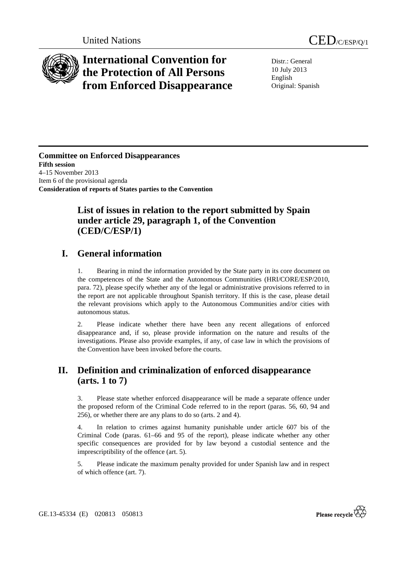

# **International Convention for the Protection of All Persons from Enforced Disappearance**

Distr.: General 10 July 2013 English Original: Spanish

**Committee on Enforced Disappearances Fifth session**  4–15 November 2013 Item 6 of the provisional agenda **Consideration of reports of States parties to the Convention** 

## **List of issues in relation to the report submitted by Spain under article 29, paragraph 1, of the Convention (CED/C/ESP/1)**

## **I. General information**

1. Bearing in mind the information provided by the State party in its core document on the competences of the State and the Autonomous Communities (HRI/CORE/ESP/2010, para. 72), please specify whether any of the legal or administrative provisions referred to in the report are not applicable throughout Spanish territory. If this is the case, please detail the relevant provisions which apply to the Autonomous Communities and/or cities with autonomous status.

2. Please indicate whether there have been any recent allegations of enforced disappearance and, if so, please provide information on the nature and results of the investigations. Please also provide examples, if any, of case law in which the provisions of the Convention have been invoked before the courts.

## **II. Definition and criminalization of enforced disappearance (arts. 1 to 7)**

3. Please state whether enforced disappearance will be made a separate offence under the proposed reform of the Criminal Code referred to in the report (paras. 56, 60, 94 and 256), or whether there are any plans to do so (arts. 2 and 4).

4. In relation to crimes against humanity punishable under article 607 bis of the Criminal Code (paras. 61–66 and 95 of the report), please indicate whether any other specific consequences are provided for by law beyond a custodial sentence and the imprescriptibility of the offence (art. 5).

5. Please indicate the maximum penalty provided for under Spanish law and in respect of which offence (art. 7).

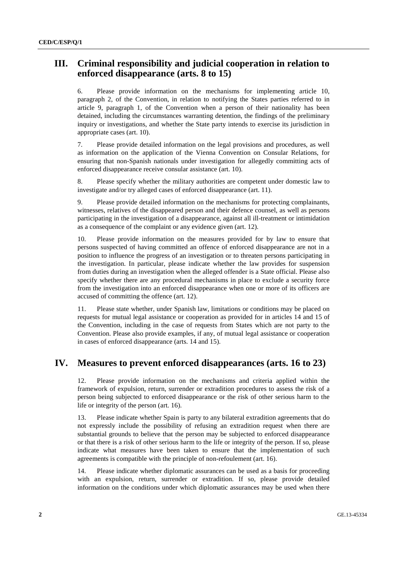#### **III. Criminal responsibility and judicial cooperation in relation to enforced disappearance (arts. 8 to 15)**

6. Please provide information on the mechanisms for implementing article 10, paragraph 2, of the Convention, in relation to notifying the States parties referred to in article 9, paragraph 1, of the Convention when a person of their nationality has been detained, including the circumstances warranting detention, the findings of the preliminary inquiry or investigations, and whether the State party intends to exercise its jurisdiction in appropriate cases (art. 10).

7. Please provide detailed information on the legal provisions and procedures, as well as information on the application of the Vienna Convention on Consular Relations, for ensuring that non-Spanish nationals under investigation for allegedly committing acts of enforced disappearance receive consular assistance (art. 10).

8. Please specify whether the military authorities are competent under domestic law to investigate and/or try alleged cases of enforced disappearance (art. 11).

9. Please provide detailed information on the mechanisms for protecting complainants, witnesses, relatives of the disappeared person and their defence counsel, as well as persons participating in the investigation of a disappearance, against all ill-treatment or intimidation as a consequence of the complaint or any evidence given (art. 12).

10. Please provide information on the measures provided for by law to ensure that persons suspected of having committed an offence of enforced disappearance are not in a position to influence the progress of an investigation or to threaten persons participating in the investigation. In particular, please indicate whether the law provides for suspension from duties during an investigation when the alleged offender is a State official. Please also specify whether there are any procedural mechanisms in place to exclude a security force from the investigation into an enforced disappearance when one or more of its officers are accused of committing the offence (art. 12).

11. Please state whether, under Spanish law, limitations or conditions may be placed on requests for mutual legal assistance or cooperation as provided for in articles 14 and 15 of the Convention, including in the case of requests from States which are not party to the Convention. Please also provide examples, if any, of mutual legal assistance or cooperation in cases of enforced disappearance (arts. 14 and 15).

#### **IV. Measures to prevent enforced disappearances (arts. 16 to 23)**

12. Please provide information on the mechanisms and criteria applied within the framework of expulsion, return, surrender or extradition procedures to assess the risk of a person being subjected to enforced disappearance or the risk of other serious harm to the life or integrity of the person (art. 16).

13. Please indicate whether Spain is party to any bilateral extradition agreements that do not expressly include the possibility of refusing an extradition request when there are substantial grounds to believe that the person may be subjected to enforced disappearance or that there is a risk of other serious harm to the life or integrity of the person. If so, please indicate what measures have been taken to ensure that the implementation of such agreements is compatible with the principle of non-refoulement (art. 16).

14. Please indicate whether diplomatic assurances can be used as a basis for proceeding with an expulsion, return, surrender or extradition. If so, please provide detailed information on the conditions under which diplomatic assurances may be used when there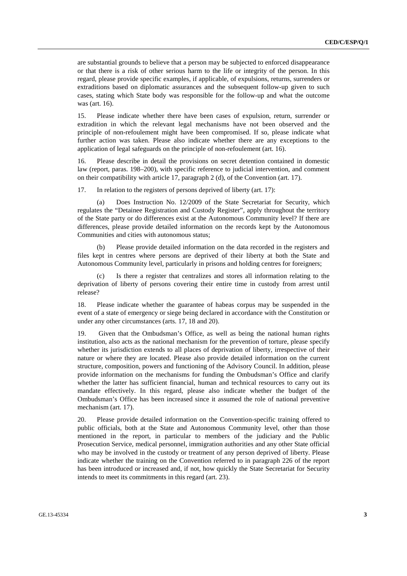are substantial grounds to believe that a person may be subjected to enforced disappearance or that there is a risk of other serious harm to the life or integrity of the person. In this regard, please provide specific examples, if applicable, of expulsions, returns, surrenders or extraditions based on diplomatic assurances and the subsequent follow-up given to such cases, stating which State body was responsible for the follow-up and what the outcome was (art. 16).

15. Please indicate whether there have been cases of expulsion, return, surrender or extradition in which the relevant legal mechanisms have not been observed and the principle of non-refoulement might have been compromised. If so, please indicate what further action was taken. Please also indicate whether there are any exceptions to the application of legal safeguards on the principle of non-refoulement (art. 16).

16. Please describe in detail the provisions on secret detention contained in domestic law (report, paras. 198–200), with specific reference to judicial intervention, and comment on their compatibility with article 17, paragraph 2 (d), of the Convention (art. 17).

17. In relation to the registers of persons deprived of liberty (art. 17):

(a) Does Instruction No. 12/2009 of the State Secretariat for Security, which regulates the "Detainee Registration and Custody Register", apply throughout the territory of the State party or do differences exist at the Autonomous Community level? If there are differences, please provide detailed information on the records kept by the Autonomous Communities and cities with autonomous status;

(b) Please provide detailed information on the data recorded in the registers and files kept in centres where persons are deprived of their liberty at both the State and Autonomous Community level, particularly in prisons and holding centres for foreigners;

Is there a register that centralizes and stores all information relating to the deprivation of liberty of persons covering their entire time in custody from arrest until release?

18. Please indicate whether the guarantee of habeas corpus may be suspended in the event of a state of emergency or siege being declared in accordance with the Constitution or under any other circumstances (arts. 17, 18 and 20).

19. Given that the Ombudsman's Office, as well as being the national human rights institution, also acts as the national mechanism for the prevention of torture, please specify whether its jurisdiction extends to all places of deprivation of liberty, irrespective of their nature or where they are located. Please also provide detailed information on the current structure, composition, powers and functioning of the Advisory Council. In addition, please provide information on the mechanisms for funding the Ombudsman's Office and clarify whether the latter has sufficient financial, human and technical resources to carry out its mandate effectively. In this regard, please also indicate whether the budget of the Ombudsman's Office has been increased since it assumed the role of national preventive mechanism (art. 17).

20. Please provide detailed information on the Convention-specific training offered to public officials, both at the State and Autonomous Community level, other than those mentioned in the report, in particular to members of the judiciary and the Public Prosecution Service, medical personnel, immigration authorities and any other State official who may be involved in the custody or treatment of any person deprived of liberty. Please indicate whether the training on the Convention referred to in paragraph 226 of the report has been introduced or increased and, if not, how quickly the State Secretariat for Security intends to meet its commitments in this regard (art. 23).